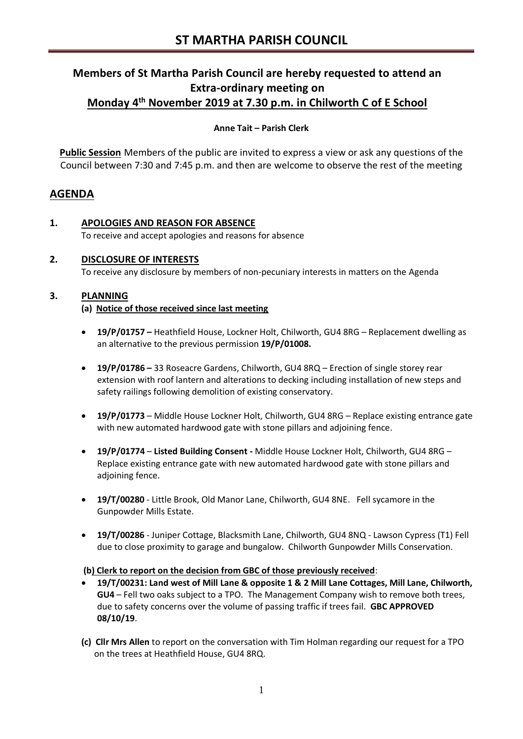# **Members of St Martha Parish Council are hereby requested to attend an Extra-ordinary meeting on Monday 4th November 2019 at 7.30 p.m. in Chilworth C of E School**

# **Anne Tait – Parish Clerk**

**Public Session** Members of the public are invited to express a view or ask any questions of the Council between 7:30 and 7:45 p.m. and then are welcome to observe the rest of the meeting

# **AGENDA**

- **1. APOLOGIES AND REASON FOR ABSENCE** To receive and accept apologies and reasons for absence
- **2. DISCLOSURE OF INTERESTS** To receive any disclosure by members of non-pecuniary interests in matters on the Agenda

# **3. PLANNING**

#### **(a) Notice of those received since last meeting**

- **19/P/01757 –** Heathfield House, Lockner Holt, Chilworth, GU4 8RG Replacement dwelling as an alternative to the previous permission **19/P/01008.**
- **19/P/01786 –** 33 Roseacre Gardens, Chilworth, GU4 8RQ Erection of single storey rear extension with roof lantern and alterations to decking including installation of new steps and safety railings following demolition of existing conservatory.
- **19/P/01773** Middle House Lockner Holt, Chilworth, GU4 8RG Replace existing entrance gate with new automated hardwood gate with stone pillars and adjoining fence.
- **19/P/01774 Listed Building Consent -** Middle House Lockner Holt, Chilworth, GU4 8RG Replace existing entrance gate with new automated hardwood gate with stone pillars and adjoining fence.
- **19/T/00280** Little Brook, Old Manor Lane, Chilworth, GU4 8NE. Fell sycamore in the Gunpowder Mills Estate.
- **19/T/00286** Juniper Cottage, Blacksmith Lane, Chilworth, GU4 8NQ Lawson Cypress (T1) Fell due to close proximity to garage and bungalow. Chilworth Gunpowder Mills Conservation.

#### **(b) Clerk to report on the decision from GBC of those previously received**:

- **19/T/00231: Land west of Mill Lane & opposite 1 & 2 Mill Lane Cottages, Mill Lane, Chilworth, GU4** – Fell two oaks subject to a TPO. The Management Company wish to remove both trees, due to safety concerns over the volume of passing traffic if trees fail. **GBC APPROVED 08/10/19**.
- **(c) Cllr Mrs Allen** to report on the conversation with Tim Holman regarding our request for a TPO on the trees at Heathfield House, GU4 8RQ.